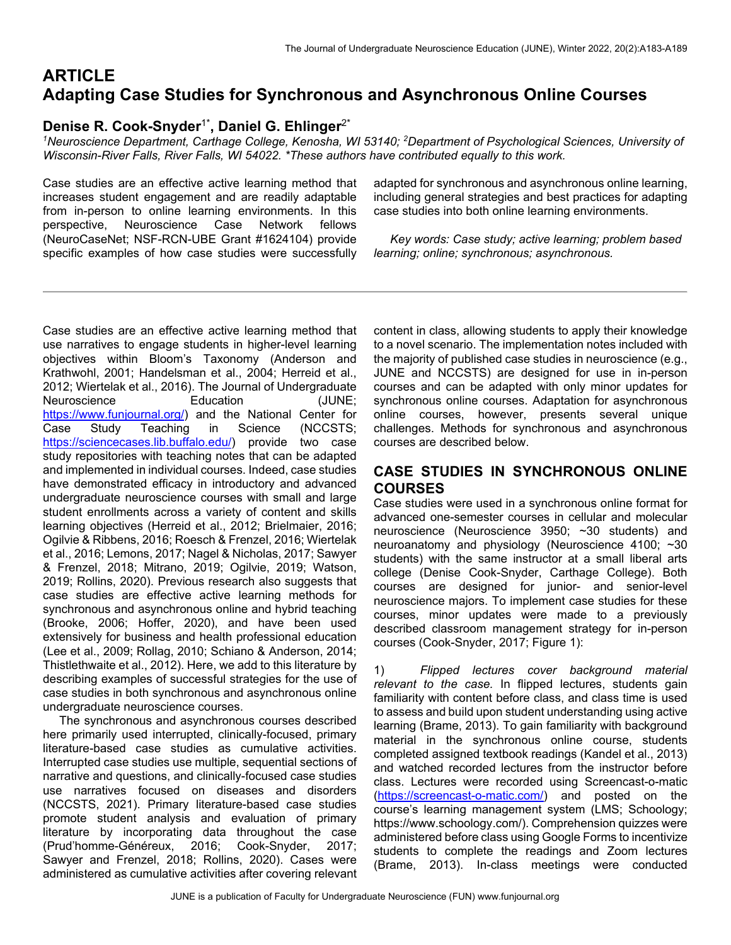# **ARTICLE Adapting Case Studies for Synchronous and Asynchronous Online Courses**

## **Denise R. Cook-Snyder**1\***, Daniel G. Ehlinger**2\*

<sup>1</sup>Neuroscience Department, Carthage College, Kenosha, WI 53140; <sup>2</sup>Department of Psychological Sciences, University of *Wisconsin-River Falls, River Falls, WI 54022. \*These authors have contributed equally to this work.*

Case studies are an effective active learning method that increases student engagement and are readily adaptable from in-person to online learning environments. In this perspective, Neuroscience Case Network fellows (NeuroCaseNet; NSF-RCN-UBE Grant #1624104) provide specific examples of how case studies were successfully adapted for synchronous and asynchronous online learning, including general strategies and best practices for adapting case studies into both online learning environments.

 *Key words: Case study; active learning; problem based learning; online; synchronous; asynchronous.*

Case studies are an effective active learning method that use narratives to engage students in higher-level learning objectives within Bloom's Taxonomy (Anderson and Krathwohl, 2001; Handelsman et al., 2004; Herreid et al., 2012; Wiertelak et al., 2016). The Journal of Undergraduate Neuroscience Education (JUNE; https://www.funjournal.org/) and the National Center for Case Study Teaching in Science (NCCSTS; https://sciencecases.lib.buffalo.edu/) provide two case study repositories with teaching notes that can be adapted and implemented in individual courses. Indeed, case studies have demonstrated efficacy in introductory and advanced undergraduate neuroscience courses with small and large student enrollments across a variety of content and skills learning objectives (Herreid et al., 2012; Brielmaier, 2016; Ogilvie & Ribbens, 2016; Roesch & Frenzel, 2016; Wiertelak et al., 2016; Lemons, 2017; Nagel & Nicholas, 2017; Sawyer & Frenzel, 2018; Mitrano, 2019; Ogilvie, 2019; Watson, 2019; Rollins, 2020). Previous research also suggests that case studies are effective active learning methods for synchronous and asynchronous online and hybrid teaching (Brooke, 2006; Hoffer, 2020), and have been used extensively for business and health professional education (Lee et al., 2009; Rollag, 2010; Schiano & Anderson, 2014; Thistlethwaite et al., 2012). Here, we add to this literature by describing examples of successful strategies for the use of case studies in both synchronous and asynchronous online undergraduate neuroscience courses.

 The synchronous and asynchronous courses described here primarily used interrupted, clinically-focused, primary literature-based case studies as cumulative activities. Interrupted case studies use multiple, sequential sections of narrative and questions, and clinically-focused case studies use narratives focused on diseases and disorders (NCCSTS, 2021). Primary literature-based case studies promote student analysis and evaluation of primary literature by incorporating data throughout the case (Prud'homme-Généreux, 2016; Cook-Snyder, 2017; Sawyer and Frenzel, 2018; Rollins, 2020). Cases were administered as cumulative activities after covering relevant

content in class, allowing students to apply their knowledge to a novel scenario. The implementation notes included with the majority of published case studies in neuroscience (e.g., JUNE and NCCSTS) are designed for use in in-person courses and can be adapted with only minor updates for synchronous online courses. Adaptation for asynchronous online courses, however, presents several unique challenges. Methods for synchronous and asynchronous courses are described below.

### **CASE STUDIES IN SYNCHRONOUS ONLINE COURSES**

Case studies were used in a synchronous online format for advanced one-semester courses in cellular and molecular neuroscience (Neuroscience 3950; ~30 students) and neuroanatomy and physiology (Neuroscience 4100; ~30 students) with the same instructor at a small liberal arts college (Denise Cook-Snyder, Carthage College). Both courses are designed for junior- and senior-level neuroscience majors. To implement case studies for these courses, minor updates were made to a previously described classroom management strategy for in-person courses (Cook-Snyder, 2017; Figure 1):

1) *Flipped lectures cover background material relevant to the case.* In flipped lectures, students gain familiarity with content before class, and class time is used to assess and build upon student understanding using active learning (Brame, 2013). To gain familiarity with background material in the synchronous online course, students completed assigned textbook readings (Kandel et al., 2013) and watched recorded lectures from the instructor before class. Lectures were recorded using Screencast-o-matic (https://screencast-o-matic.com/) and posted on the course's learning management system (LMS; Schoology; https://www.schoology.com/). Comprehension quizzes were administered before class using Google Forms to incentivize students to complete the readings and Zoom lectures (Brame, 2013). In-class meetings were conducted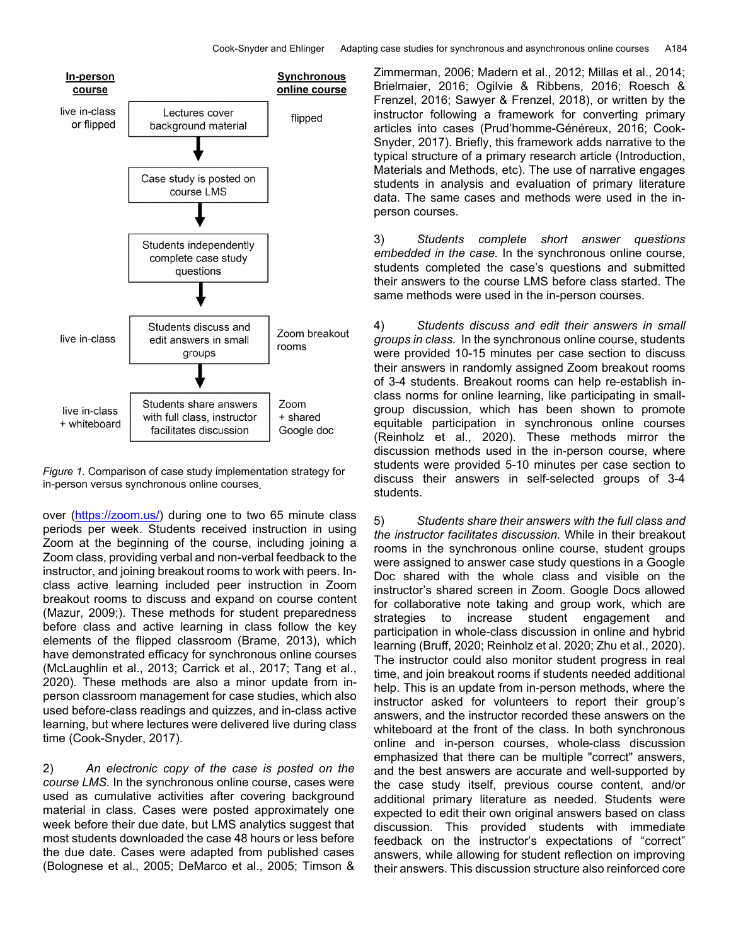

*Figure 1.* Comparison of case study implementation strategy for in-person versus synchronous online courses.

over (https://zoom.us/) during one to two 65 minute class periods per week. Students received instruction in using Zoom at the beginning of the course, including joining a Zoom class, providing verbal and non-verbal feedback to the instructor, and joining breakout rooms to work with peers. Inclass active learning included peer instruction in Zoom breakout rooms to discuss and expand on course content (Mazur, 2009;). These methods for student preparedness before class and active learning in class follow the key elements of the flipped classroom (Brame, 2013), which have demonstrated efficacy for synchronous online courses (McLaughlin et al., 2013; Carrick et al., 2017; Tang et al., 2020). These methods are also a minor update from inperson classroom management for case studies, which also used before-class readings and quizzes, and in-class active learning, but where lectures were delivered live during class time (Cook-Snyder, 2017).

2) *An electronic copy of the case is posted on the course LMS.* In the synchronous online course, cases were used as cumulative activities after covering background material in class. Cases were posted approximately one week before their due date, but LMS analytics suggest that most students downloaded the case 48 hours or less before the due date. Cases were adapted from published cases (Bolognese et al., 2005; DeMarco et al., 2005; Timson &

Zimmerman, 2006; Madern et al., 2012; Millas et al., 2014; Brielmaier, 2016; Ogilvie & Ribbens, 2016; Roesch & Frenzel, 2016; Sawyer & Frenzel, 2018), or written by the instructor following a framework for converting primary articles into cases (Prud'homme-Généreux, 2016; Cook-Snyder, 2017). Briefly, this framework adds narrative to the typical structure of a primary research article (Introduction, Materials and Methods, etc). The use of narrative engages students in analysis and evaluation of primary literature data. The same cases and methods were used in the inperson courses.

3) *Students complete short answer questions embedded in the case.* In the synchronous online course, students completed the case's questions and submitted their answers to the course LMS before class started. The same methods were used in the in-person courses.

4) *Students discuss and edit their answers in small groups in class.* In the synchronous online course, students were provided 10-15 minutes per case section to discuss their answers in randomly assigned Zoom breakout rooms of 3-4 students. Breakout rooms can help re-establish inclass norms for online learning, like participating in smallgroup discussion, which has been shown to promote equitable participation in synchronous online courses (Reinholz et al., 2020). These methods mirror the discussion methods used in the in-person course, where students were provided 5-10 minutes per case section to discuss their answers in self-selected groups of 3-4 students.

5) *Students share their answers with the full class and the instructor facilitates discussion.* While in their breakout rooms in the synchronous online course, student groups were assigned to answer case study questions in a Google Doc shared with the whole class and visible on the instructor's shared screen in Zoom. Google Docs allowed for collaborative note taking and group work, which are strategies to increase student engagement and participation in whole-class discussion in online and hybrid learning (Bruff, 2020; Reinholz et al. 2020; Zhu et al., 2020). The instructor could also monitor student progress in real time, and join breakout rooms if students needed additional help. This is an update from in-person methods, where the instructor asked for volunteers to report their group's answers, and the instructor recorded these answers on the whiteboard at the front of the class. In both synchronous online and in-person courses, whole-class discussion emphasized that there can be multiple "correct" answers, and the best answers are accurate and well-supported by the case study itself, previous course content, and/or additional primary literature as needed. Students were expected to edit their own original answers based on class discussion. This provided students with immediate feedback on the instructor's expectations of "correct" answers, while allowing for student reflection on improving their answers. This discussion structure also reinforced core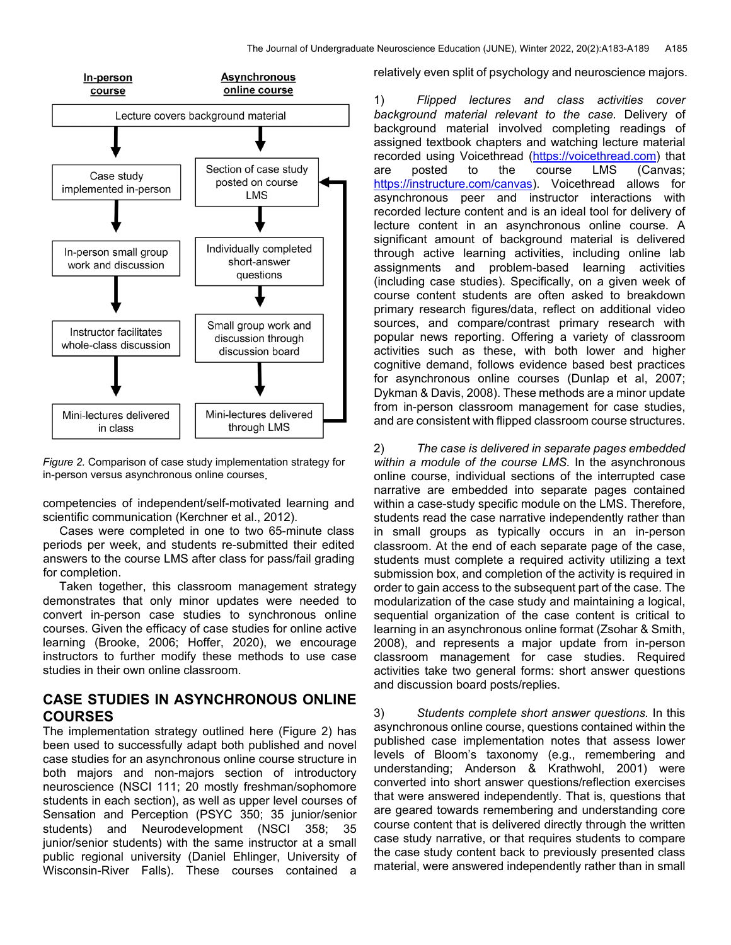

*Figure 2.* Comparison of case study implementation strategy for in-person versus asynchronous online courses.

competencies of independent/self-motivated learning and scientific communication (Kerchner et al., 2012).

 Cases were completed in one to two 65-minute class periods per week, and students re-submitted their edited answers to the course LMS after class for pass/fail grading for completion.

 Taken together, this classroom management strategy demonstrates that only minor updates were needed to convert in-person case studies to synchronous online courses. Given the efficacy of case studies for online active learning (Brooke, 2006; Hoffer, 2020), we encourage instructors to further modify these methods to use case studies in their own online classroom.

### **CASE STUDIES IN ASYNCHRONOUS ONLINE COURSES**

The implementation strategy outlined here (Figure 2) has been used to successfully adapt both published and novel case studies for an asynchronous online course structure in both majors and non-majors section of introductory neuroscience (NSCI 111; 20 mostly freshman/sophomore students in each section), as well as upper level courses of Sensation and Perception (PSYC 350; 35 junior/senior students) and Neurodevelopment (NSCI 358; 35 junior/senior students) with the same instructor at a small public regional university (Daniel Ehlinger, University of Wisconsin-River Falls). These courses contained a relatively even split of psychology and neuroscience majors.

1) *Flipped lectures and class activities cover background material relevant to the case.* Delivery of background material involved completing readings of assigned textbook chapters and watching lecture material recorded using Voicethread (https://voicethread.com) that are posted to the course LMS (Canvas; https://instructure.com/canvas). Voicethread allows for asynchronous peer and instructor interactions with recorded lecture content and is an ideal tool for delivery of lecture content in an asynchronous online course. A significant amount of background material is delivered through active learning activities, including online lab assignments and problem-based learning activities (including case studies). Specifically, on a given week of course content students are often asked to breakdown primary research figures/data, reflect on additional video sources, and compare/contrast primary research with popular news reporting. Offering a variety of classroom activities such as these, with both lower and higher cognitive demand, follows evidence based best practices for asynchronous online courses (Dunlap et al, 2007; Dykman & Davis, 2008). These methods are a minor update from in-person classroom management for case studies, and are consistent with flipped classroom course structures.

2) *The case is delivered in separate pages embedded within a module of the course LMS.* In the asynchronous online course, individual sections of the interrupted case narrative are embedded into separate pages contained within a case-study specific module on the LMS. Therefore, students read the case narrative independently rather than in small groups as typically occurs in an in-person classroom. At the end of each separate page of the case, students must complete a required activity utilizing a text submission box, and completion of the activity is required in order to gain access to the subsequent part of the case. The modularization of the case study and maintaining a logical, sequential organization of the case content is critical to learning in an asynchronous online format (Zsohar & Smith, 2008), and represents a major update from in-person classroom management for case studies. Required activities take two general forms: short answer questions and discussion board posts/replies.

3) *Students complete short answer questions.* In this asynchronous online course, questions contained within the published case implementation notes that assess lower levels of Bloom's taxonomy (e.g., remembering and understanding; Anderson & Krathwohl, 2001) were converted into short answer questions/reflection exercises that were answered independently. That is, questions that are geared towards remembering and understanding core course content that is delivered directly through the written case study narrative, or that requires students to compare the case study content back to previously presented class material, were answered independently rather than in small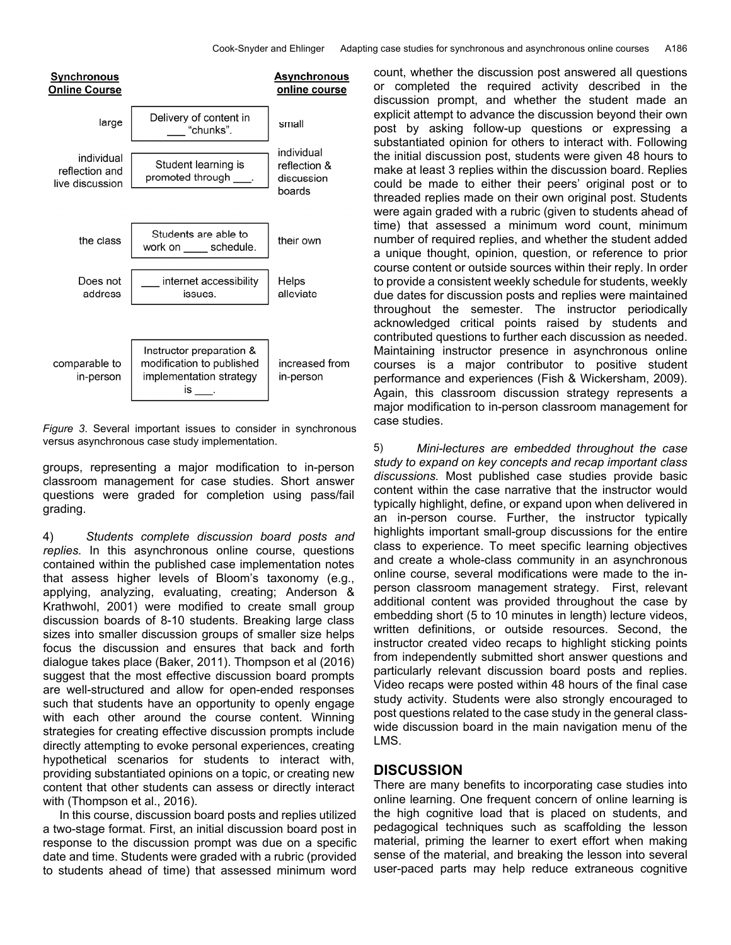

*Figure 3*. Several important issues to consider in synchronous versus asynchronous case study implementation.

groups, representing a major modification to in-person classroom management for case studies. Short answer questions were graded for completion using pass/fail grading.

4) *Students complete discussion board posts and replies.* In this asynchronous online course, questions contained within the published case implementation notes that assess higher levels of Bloom's taxonomy (e.g., applying, analyzing, evaluating, creating; Anderson & Krathwohl, 2001) were modified to create small group discussion boards of 8-10 students. Breaking large class sizes into smaller discussion groups of smaller size helps focus the discussion and ensures that back and forth dialogue takes place (Baker, 2011). Thompson et al (2016) suggest that the most effective discussion board prompts are well-structured and allow for open-ended responses such that students have an opportunity to openly engage with each other around the course content. Winning strategies for creating effective discussion prompts include directly attempting to evoke personal experiences, creating hypothetical scenarios for students to interact with, providing substantiated opinions on a topic, or creating new content that other students can assess or directly interact with (Thompson et al., 2016).

 In this course, discussion board posts and replies utilized a two-stage format. First, an initial discussion board post in response to the discussion prompt was due on a specific date and time. Students were graded with a rubric (provided to students ahead of time) that assessed minimum word count, whether the discussion post answered all questions or completed the required activity described in the discussion prompt, and whether the student made an explicit attempt to advance the discussion beyond their own post by asking follow-up questions or expressing a substantiated opinion for others to interact with. Following the initial discussion post, students were given 48 hours to make at least 3 replies within the discussion board. Replies could be made to either their peers' original post or to threaded replies made on their own original post. Students were again graded with a rubric (given to students ahead of time) that assessed a minimum word count, minimum number of required replies, and whether the student added a unique thought, opinion, question, or reference to prior course content or outside sources within their reply. In order to provide a consistent weekly schedule for students, weekly due dates for discussion posts and replies were maintained throughout the semester. The instructor periodically acknowledged critical points raised by students and contributed questions to further each discussion as needed. Maintaining instructor presence in asynchronous online courses is a major contributor to positive student performance and experiences (Fish & Wickersham, 2009). Again, this classroom discussion strategy represents a major modification to in-person classroom management for case studies.

5) *Mini-lectures are embedded throughout the case study to expand on key concepts and recap important class discussions.* Most published case studies provide basic content within the case narrative that the instructor would typically highlight, define, or expand upon when delivered in an in-person course. Further, the instructor typically highlights important small-group discussions for the entire class to experience. To meet specific learning objectives and create a whole-class community in an asynchronous online course, several modifications were made to the inperson classroom management strategy. First, relevant additional content was provided throughout the case by embedding short (5 to 10 minutes in length) lecture videos, written definitions, or outside resources. Second, the instructor created video recaps to highlight sticking points from independently submitted short answer questions and particularly relevant discussion board posts and replies. Video recaps were posted within 48 hours of the final case study activity. Students were also strongly encouraged to post questions related to the case study in the general classwide discussion board in the main navigation menu of the LMS.

#### **DISCUSSION**

There are many benefits to incorporating case studies into online learning. One frequent concern of online learning is the high cognitive load that is placed on students, and pedagogical techniques such as scaffolding the lesson material, priming the learner to exert effort when making sense of the material, and breaking the lesson into several user-paced parts may help reduce extraneous cognitive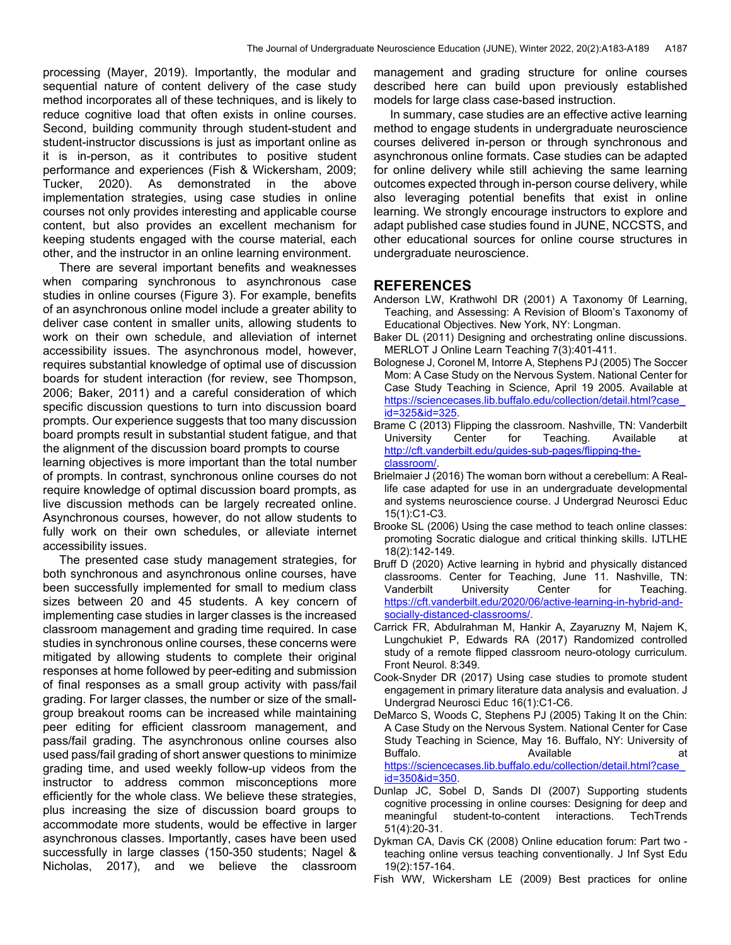processing (Mayer, 2019). Importantly, the modular and sequential nature of content delivery of the case study method incorporates all of these techniques, and is likely to reduce cognitive load that often exists in online courses. Second, building community through student-student and student-instructor discussions is just as important online as it is in-person, as it contributes to positive student performance and experiences (Fish & Wickersham, 2009; Tucker, 2020). As demonstrated in the above implementation strategies, using case studies in online courses not only provides interesting and applicable course content, but also provides an excellent mechanism for keeping students engaged with the course material, each other, and the instructor in an online learning environment.

 There are several important benefits and weaknesses when comparing synchronous to asynchronous case studies in online courses (Figure 3). For example, benefits of an asynchronous online model include a greater ability to deliver case content in smaller units, allowing students to work on their own schedule, and alleviation of internet accessibility issues. The asynchronous model, however, requires substantial knowledge of optimal use of discussion boards for student interaction (for review, see Thompson, 2006; Baker, 2011) and a careful consideration of which specific discussion questions to turn into discussion board prompts. Our experience suggests that too many discussion board prompts result in substantial student fatigue, and that the alignment of the discussion board prompts to course learning objectives is more important than the total number of prompts. In contrast, synchronous online courses do not require knowledge of optimal discussion board prompts, as live discussion methods can be largely recreated online. Asynchronous courses, however, do not allow students to fully work on their own schedules, or alleviate internet accessibility issues.

 The presented case study management strategies, for both synchronous and asynchronous online courses, have been successfully implemented for small to medium class sizes between 20 and 45 students. A key concern of implementing case studies in larger classes is the increased classroom management and grading time required. In case studies in synchronous online courses, these concerns were mitigated by allowing students to complete their original responses at home followed by peer-editing and submission of final responses as a small group activity with pass/fail grading. For larger classes, the number or size of the smallgroup breakout rooms can be increased while maintaining peer editing for efficient classroom management, and pass/fail grading. The asynchronous online courses also used pass/fail grading of short answer questions to minimize grading time, and used weekly follow-up videos from the instructor to address common misconceptions more efficiently for the whole class. We believe these strategies, plus increasing the size of discussion board groups to accommodate more students, would be effective in larger asynchronous classes. Importantly, cases have been used successfully in large classes (150-350 students; Nagel & Nicholas, 2017), and we believe the classroom

management and grading structure for online courses described here can build upon previously established models for large class case-based instruction.

 In summary, case studies are an effective active learning method to engage students in undergraduate neuroscience courses delivered in-person or through synchronous and asynchronous online formats. Case studies can be adapted for online delivery while still achieving the same learning outcomes expected through in-person course delivery, while also leveraging potential benefits that exist in online learning. We strongly encourage instructors to explore and adapt published case studies found in JUNE, NCCSTS, and other educational sources for online course structures in undergraduate neuroscience.

#### **REFERENCES**

- Anderson LW, Krathwohl DR (2001) A Taxonomy 0f Learning, Teaching, and Assessing: A Revision of Bloom's Taxonomy of Educational Objectives. New York, NY: Longman.
- Baker DL (2011) Designing and orchestrating online discussions. MERLOT J Online Learn Teaching 7(3):401-411.
- Bolognese J, Coronel M, Intorre A, Stephens PJ (2005) The Soccer Mom: A Case Study on the Nervous System. National Center for Case Study Teaching in Science, April 19 2005. Available at https://sciencecases.lib.buffalo.edu/collection/detail.html?case\_ id=325&id=325.
- Brame C (2013) Flipping the classroom. Nashville, TN: Vanderbilt University Center for Teaching. Available at http://cft.vanderbilt.edu/guides-sub-pages/flipping-theclassroom/.
- Brielmaier J (2016) The woman born without a cerebellum: A Reallife case adapted for use in an undergraduate developmental and systems neuroscience course. J Undergrad Neurosci Educ 15(1):C1-C3.
- Brooke SL (2006) Using the case method to teach online classes: promoting Socratic dialogue and critical thinking skills. IJTLHE 18(2):142-149.
- Bruff D (2020) Active learning in hybrid and physically distanced classrooms. Center for Teaching, June 11. Nashville, TN: Vanderbilt University Center for Teaching. https://cft.vanderbilt.edu/2020/06/active-learning-in-hybrid-andsocially-distanced-classrooms/.
- Carrick FR, Abdulrahman M, Hankir A, Zayaruzny M, Najem K, Lungchukiet P, Edwards RA (2017) Randomized controlled study of a remote flipped classroom neuro-otology curriculum. Front Neurol. 8:349.
- Cook-Snyder DR (2017) Using case studies to promote student engagement in primary literature data analysis and evaluation. J Undergrad Neurosci Educ 16(1):C1-C6.
- DeMarco S, Woods C, Stephens PJ (2005) Taking It on the Chin: A Case Study on the Nervous System. National Center for Case Study Teaching in Science, May 16. Buffalo, NY: University of Buffalo. at a control and Available at a control at a control at a control at a control at a control at a control at a control at a control at a control at a control at a control at a control at a control at a control at a https://sciencecases.lib.buffalo.edu/collection/detail.html?case\_ id=350&id=350.
- Dunlap JC, Sobel D, Sands DI (2007) Supporting students cognitive processing in online courses: Designing for deep and meaningful student-to-content interactions. TechTrends 51(4):20-31.
- Dykman CA, Davis CK (2008) Online education forum: Part two teaching online versus teaching conventionally. J Inf Syst Edu 19(2):157-164.
- Fish WW, Wickersham LE (2009) Best practices for online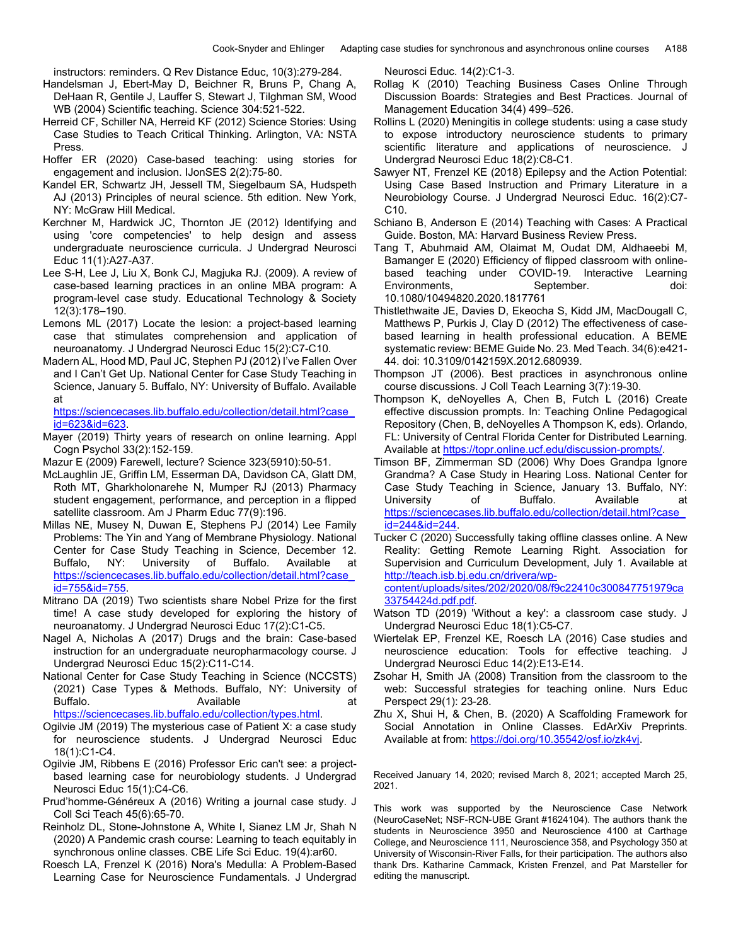instructors: reminders. Q Rev Distance Educ, 10(3):279-284.

- Handelsman J, Ebert-May D, Beichner R, Bruns P, Chang A, DeHaan R, Gentile J, Lauffer S, Stewart J, Tilghman SM, Wood WB (2004) Scientific teaching. Science 304:521-522.
- Herreid CF, Schiller NA, Herreid KF (2012) Science Stories: Using Case Studies to Teach Critical Thinking. Arlington, VA: NSTA Press.
- Hoffer ER (2020) Case-based teaching: using stories for engagement and inclusion. IJonSES 2(2):75-80.
- Kandel ER, Schwartz JH, Jessell TM, Siegelbaum SA, Hudspeth AJ (2013) Principles of neural science. 5th edition. New York, NY: McGraw Hill Medical.
- Kerchner M, Hardwick JC, Thornton JE (2012) Identifying and using 'core competencies' to help design and assess undergraduate neuroscience curricula. J Undergrad Neurosci Educ 11(1):A27-A37.
- Lee S-H, Lee J, Liu X, Bonk CJ, Magjuka RJ. (2009). A review of case-based learning practices in an online MBA program: A program-level case study. Educational Technology & Society 12(3):178–190.
- Lemons ML (2017) Locate the lesion: a project-based learning case that stimulates comprehension and application of neuroanatomy. J Undergrad Neurosci Educ 15(2):C7-C10.
- Madern AL, Hood MD, Paul JC, Stephen PJ (2012) I've Fallen Over and I Can't Get Up. National Center for Case Study Teaching in Science, January 5. Buffalo, NY: University of Buffalo. Available at

https://sciencecases.lib.buffalo.edu/collection/detail.html?case\_ id=623&id=623.

- Mayer (2019) Thirty years of research on online learning. Appl Cogn Psychol 33(2):152-159.
- Mazur E (2009) Farewell, lecture? Science 323(5910):50-51.
- McLaughlin JE, Griffin LM, Esserman DA, Davidson CA, Glatt DM, Roth MT, Gharkholonarehe N, Mumper RJ (2013) Pharmacy student engagement, performance, and perception in a flipped satellite classroom. Am J Pharm Educ 77(9):196.
- Millas NE, Musey N, Duwan E, Stephens PJ (2014) Lee Family Problems: The Yin and Yang of Membrane Physiology. National Center for Case Study Teaching in Science, December 12. Buffalo, NY: University of Buffalo. Available at https://sciencecases.lib.buffalo.edu/collection/detail.html?case\_ id=755&id=755.
- Mitrano DA (2019) Two scientists share Nobel Prize for the first time! A case study developed for exploring the history of neuroanatomy. J Undergrad Neurosci Educ 17(2):C1-C5.
- Nagel A, Nicholas A (2017) Drugs and the brain: Case-based instruction for an undergraduate neuropharmacology course. J Undergrad Neurosci Educ 15(2):C11-C14.
- National Center for Case Study Teaching in Science (NCCSTS) (2021) Case Types & Methods. Buffalo, NY: University of Buffalo. Available at https://sciencecases.lib.buffalo.edu/collection/types.html.
- Ogilvie JM (2019) The mysterious case of Patient X: a case study for neuroscience students. J Undergrad Neurosci Educ 18(1):C1-C4.
- Ogilvie JM, Ribbens E (2016) Professor Eric can't see: a projectbased learning case for neurobiology students. J Undergrad Neurosci Educ 15(1):C4-C6.
- Prud'homme-Généreux A (2016) Writing a journal case study. J Coll Sci Teach 45(6):65-70.
- Reinholz DL, Stone-Johnstone A, White I, Sianez LM Jr, Shah N (2020) A Pandemic crash course: Learning to teach equitably in synchronous online classes. CBE Life Sci Educ. 19(4):ar60.
- Roesch LA, Frenzel K (2016) Nora's Medulla: A Problem-Based Learning Case for Neuroscience Fundamentals. J Undergrad

Neurosci Educ. 14(2):C1-3.

- Rollag K (2010) Teaching Business Cases Online Through Discussion Boards: Strategies and Best Practices. Journal of Management Education 34(4) 499–526.
- Rollins L (2020) Meningitis in college students: using a case study to expose introductory neuroscience students to primary scientific literature and applications of neuroscience. J Undergrad Neurosci Educ 18(2):C8-C1.
- Sawyer NT, Frenzel KE (2018) Epilepsy and the Action Potential: Using Case Based Instruction and Primary Literature in a Neurobiology Course. J Undergrad Neurosci Educ. 16(2):C7- C10.
- Schiano B, Anderson E (2014) Teaching with Cases: A Practical Guide. Boston, MA: Harvard Business Review Press.
- Tang T, Abuhmaid AM, Olaimat M, Oudat DM, Aldhaeebi M, Bamanger E (2020) Efficiency of flipped classroom with onlinebased teaching under COVID-19. Interactive Learning Environments, September. doi: 10.1080/10494820.2020.1817761
- Thistlethwaite JE, Davies D, Ekeocha S, Kidd JM, MacDougall C, Matthews P, Purkis J, Clay D (2012) The effectiveness of casebased learning in health professional education. A BEME systematic review: BEME Guide No. 23. Med Teach. 34(6):e421- 44. doi: 10.3109/0142159X.2012.680939.
- Thompson JT (2006). Best practices in asynchronous online course discussions. J Coll Teach Learning 3(7):19-30.
- Thompson K, deNoyelles A, Chen B, Futch L (2016) Create effective discussion prompts. In: Teaching Online Pedagogical Repository (Chen, B, deNoyelles A Thompson K, eds). Orlando, FL: University of Central Florida Center for Distributed Learning. Available at https://topr.online.ucf.edu/discussion-prompts/.
- Timson BF, Zimmerman SD (2006) Why Does Grandpa Ignore Grandma? A Case Study in Hearing Loss. National Center for Case Study Teaching in Science, January 13. Buffalo, NY: University of Buffalo. Available at https://sciencecases.lib.buffalo.edu/collection/detail.html?case\_ id=244&id=244.
- Tucker C (2020) Successfully taking offline classes online. A New Reality: Getting Remote Learning Right. Association for Supervision and Curriculum Development, July 1. Available at http://teach.isb.bj.edu.cn/drivera/wpcontent/uploads/sites/202/2020/08/f9c22410c300847751979ca 33754424d.pdf.pdf.
- Watson TD (2019) 'Without a key': a classroom case study. J Undergrad Neurosci Educ 18(1):C5-C7.
- Wiertelak EP, Frenzel KE, Roesch LA (2016) Case studies and neuroscience education: Tools for effective teaching. J Undergrad Neurosci Educ 14(2):E13-E14.
- Zsohar H, Smith JA (2008) Transition from the classroom to the web: Successful strategies for teaching online. Nurs Educ Perspect 29(1): 23-28.
- Zhu X, Shui H, & Chen, B. (2020) A Scaffolding Framework for Social Annotation in Online Classes. EdArXiv Preprints. Available at from: https://doi.org/10.35542/osf.io/zk4vj.

Received January 14, 2020; revised March 8, 2021; accepted March 25, 2021.

This work was supported by the Neuroscience Case Network (NeuroCaseNet; NSF-RCN-UBE Grant #1624104). The authors thank the students in Neuroscience 3950 and Neuroscience 4100 at Carthage College, and Neuroscience 111, Neuroscience 358, and Psychology 350 at University of Wisconsin-River Falls, for their participation. The authors also thank Drs. Katharine Cammack, Kristen Frenzel, and Pat Marsteller for editing the manuscript.